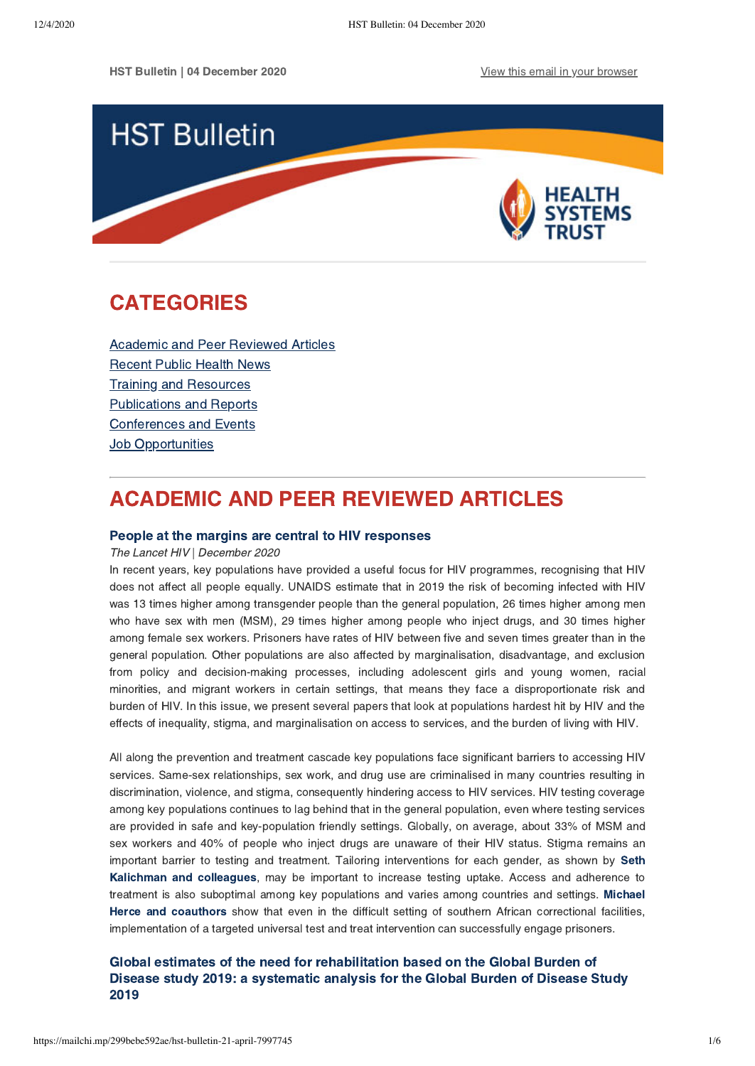

# <span id="page-0-1"></span>CATEGORIES

[Academic and Peer Reviewed Articles](#page-0-0) [Recent Public Health News](#page-1-0) Training and Resources [Publications and Reports](#page-2-0) [Conferences and Events](#page-3-0) **Job Opportunities** 

# <span id="page-0-0"></span>ACADEMIC AND PEER REVIEWED ARTICLES

### [People at the margins are central to HIV responses](https://www.thelancet.com/journals/lanhiv/article/PIIS2352-3018(20)30311-8/fulltext)

The Lancet HIV | December 2020

In recent years, key populations have provided a useful focus for HIV programmes, recognising that HIV does not affect all people equally. UNAIDS estimate that in 2019 the risk of becoming infected with HIV was 13 times higher among transgender people than the general population, 26 times higher among men who have sex with men (MSM), 29 times higher among people who inject drugs, and 30 times higher among female sex workers. Prisoners have rates of HIV between five and seven times greater than in the general population. Other populations are also affected by marginalisation, disadvantage, and exclusion from policy and decision-making processes, including adolescent girls and young women, racial minorities, and migrant workers in certain settings, that means they face a disproportionate risk and burden of HIV. In this issue, we present several papers that look at populations hardest hit by HIV and the effects of inequality, stigma, and marginalisation on access to services, and the burden of living with HIV.

All along the prevention and treatment cascade key populations face significant barriers to accessing HIV services. Same-sex relationships, sex work, and drug use are criminalised in many countries resulting in discrimination, violence, and stigma, consequently hindering access to HIV services. HIV testing coverage among key populations continues to lag behind that in the general population, even where testing services are provided in safe and key-population friendly settings. Globally, on average, about 33% of MSM and sex workers and 40% of people who inject drugs are unaware of their HIV status. Stigma remains an important barrier to testing and treatment. Tailoring interventions for each gender, as shown by Seth [Kalichman and colleagues, may be important to increase testing uptake. Access and adherence to](https://doi.org/10.1016/S2352-3018(20)30119-3) treatment is [also suboptimal among key populations and varies among countries and settings. Michael](https://doi.org/10.1016/S2352-3018(20)30188-0) Herce and coauthors show that even in the difficult setting of southern African correctional facilities, implementation of a targeted universal test and treat intervention can successfully engage prisoners.

### Global estimates of the need for rehabilitation based on the Global Burden of [Disease study 2019: a systematic analysis for the Global Burden of Disease Study](https://www.thelancet.com/journals/lancet/article/PIIS0140-6736(20)32340-0/fulltext) 2019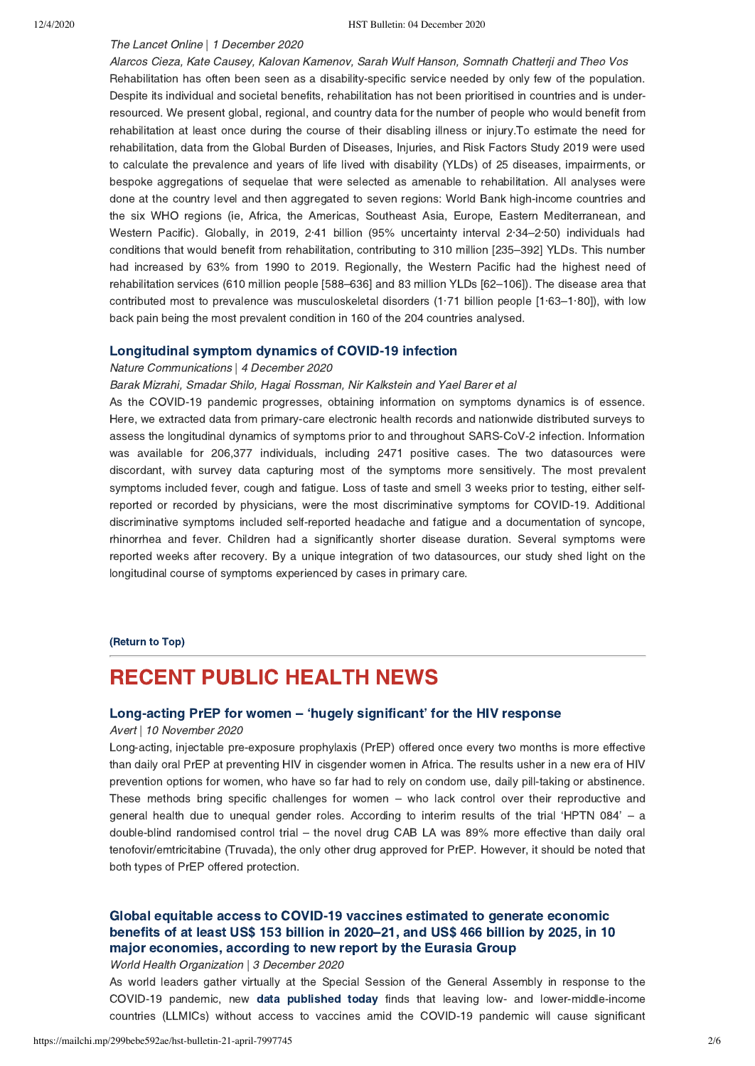### The Lancet Online | 1 December 2020

Alarcos Cieza, Kate Causey, Kalovan Kamenov, Sarah Wulf Hanson, Somnath Chatterji and Theo Vos Rehabilitation has often been seen as a disability-specific service needed by only few of the population. Despite its individual and societal benefits, rehabilitation has not been prioritised in countries and is underresourced. We present global, regional, and country data for the number of people who would benefit from rehabilitation at least once during the course of their disabling illness or injury.To estimate the need for rehabilitation, data from the Global Burden of Diseases, Injuries, and Risk Factors Study 2019 were used to calculate the prevalence and years of life lived with disability (YLDs) of 25 diseases, impairments, or bespoke aggregations of sequelae that were selected as amenable to rehabilitation. All analyses were done at the country level and then aggregated to seven regions: World Bank high-income countries and the six WHO regions (ie, Africa, the Americas, Southeast Asia, Europe, Eastern Mediterranean, and Western Pacific). Globally, in 2019, 2·41 billion (95% uncertainty interval 2·34–2·50) individuals had conditions that would benefit from rehabilitation, contributing to 310 million [235–392] YLDs. This number had increased by 63% from 1990 to 2019. Regionally, the Western Pacific had the highest need of rehabilitation services (610 million people [588–636] and 83 million YLDs [62–106]). The disease area that contributed most to prevalence was musculoskeletal disorders (1·71 billion people [1·63–1·80]), with low back pain being the most prevalent condition in 160 of the 204 countries analysed.

### [Longitudinal symptom dynamics of COVID-19 infection](https://www.nature.com/articles/s41467-020-20053-y)

#### Nature Communications | 4 December 2020

Barak Mizrahi, Smadar Shilo, Hagai Rossman, Nir Kalkstein and Yael Barer et al

As the COVID-19 pandemic progresses, obtaining information on symptoms dynamics is of essence. Here, we extracted data from primary-care electronic health records and nationwide distributed surveys to assess the longitudinal dynamics of symptoms prior to and throughout SARS-CoV-2 infection. Information was available for 206,377 individuals, including 2471 positive cases. The two datasources were discordant, with survey data capturing most of the symptoms more sensitively. The most prevalent symptoms included fever, cough and fatigue. Loss of taste and smell 3 weeks prior to testing, either selfreported or recorded by physicians, were the most discriminative symptoms for COVID-19. Additional discriminative symptoms included self-reported headache and fatigue and a documentation of syncope, rhinorrhea and fever. Children had a significantly shorter disease duration. Several symptoms were reported weeks after recovery. By a unique integration of two datasources, our study shed light on the longitudinal course of symptoms experienced by cases in primary care.

#### [\(Return to Top\)](#page-0-1)

# <span id="page-1-0"></span>RECENT PUBLIC HEALTH NEWS

### Long-acting PrEP for women – ['hugely significant' for the HIV response](https://www.avert.org/news/long-acting-prep-women-hugely-significant-hiv?utm_source=newsletter&utm_medium=email&utm_campaign=HIV_news_digest&utm_content=Nov_2020)

### Avert | 10 November 2020

Long-acting, injectable pre-exposure prophylaxis (PrEP) offered once every two months is more effective than daily oral PrEP at preventing HIV in cisgender women in Africa. The results usher in a new era of HIV prevention options for women, who have so far had to rely on condom use, daily pill-taking or abstinence. These methods bring specific challenges for women – who lack control over their reproductive and general health due to unequal gender roles. According to interim results of the trial 'HPTN 084' – a double-blind randomised control trial – the novel drug CAB LA was 89% more effective than daily oral tenofovir/emtricitabine (Truvada), the only other drug approved for PrEP. However, it should be noted that both types of PrEP offered protection.

## Global equitable access to COVID-19 vaccines estimated to generate economic [benefits of at least US\\$ 153 billion in 2020–21, and US\\$ 466 billion by 2025, in 10](https://www.who.int/news/item/03-12-2020-global-access-to-covid-19-vaccines-estimated-to-generate-economic-benefits-of-at-least-153-billion-in-2020-21) major economies, according to new report by the Eurasia Group

#### World Health Organization | 3 December 2020

As world leaders gather virtually at the Special Session of the General Assembly in response to the COVID-19 pandemic, new [data published today](https://www.who.int/initiatives/act-accelerator) finds that leaving low- and lower-middle-income countries (LLMICs) without access to vaccines amid the COVID-19 pandemic will cause significant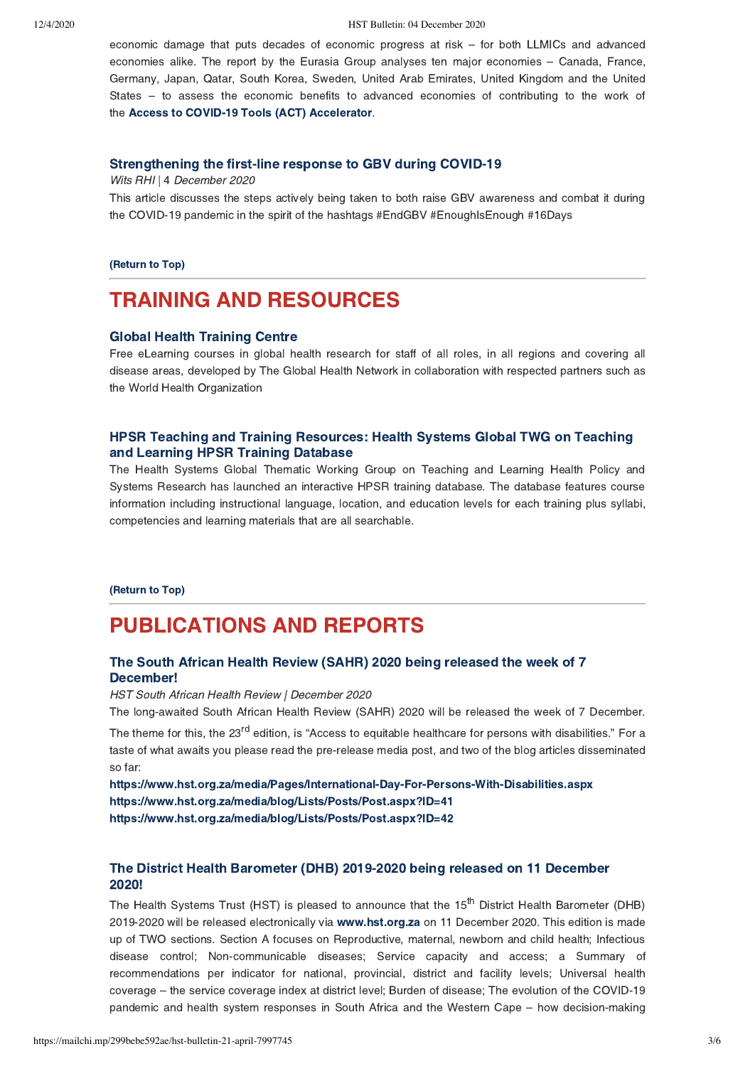#### 12/4/2020 HST Bulletin: 04 December 2020

economic damage that puts decades of economic progress at risk – for both LLMICs and advanced economies alike. The report by the Eurasia Group analyses ten major economies – Canada, France, Germany, Japan, Qatar, South Korea, Sweden, United Arab Emirates, United Kingdom and the United States – to assess the economic benefits to advanced economies of contributing to the work of the [Access to COVID-19 Tools \(ACT\) Accelerator](https://www.who.int/initiatives/act-accelerator).

### [Strengthening the first-line response to GBV during COVID-19](https://t.co/dq8TpIj0xA?amp=1)

Wits RHI | 4 December 2020

This article discusses the steps actively being taken to both raise GBV awareness and combat it during the COVID-19 pandemic in the spirit of the hashtags #EndGBV #EnoughIsEnough #16Days

#### [\(Return to Top\)](#page-0-1)

# <span id="page-2-0"></span>TRAINING AND RESOURCES

### [Global Health Training Centre](https://globalhealthtrainingcentre.tghn.org/resources/Resource-library/)

Free eLearning courses in global health research for staff of all roles, in all regions and covering all disease areas, developed by The Global Health Network in collaboration with respected partners such as the World Health Organization

## [HPSR Teaching and Training Resources: Health Systems Global TWG on Teaching](https://www.who.int/alliance-hpsr/resources/training/en/) and Learning HPSR Training Database

The Health Systems Global Thematic Working Group on Teaching and Learning Health Policy and Systems Research has launched an interactive HPSR training database. The database features course information including instructional language, location, and education levels for each training plus syllabi, competencies and learning materials that are all searchable.

#### [\(Return to Top\)](#page-0-1)

# PUBLICATIONS AND REPORTS

## The South African Health Review (SAHR) 2020 being released the week of 7 December!

HST South African Health Review | December 2020

The long-awaited South African Health Review (SAHR) 2020 will be released the week of 7 December.

The theme for this, the 23<sup>rd</sup> edition, is "Access to equitable healthcare for persons with disabilities." For a taste of what awaits you please read the pre-release media post, and two of the blog articles disseminated so far:

<https://www.hst.org.za/media/Pages/International-Day-For-Persons-With-Disabilities.aspx> <https://www.hst.org.za/media/blog/Lists/Posts/Post.aspx?ID=41> <https://www.hst.org.za/media/blog/Lists/Posts/Post.aspx?ID=42>

## [The District Health Barometer \(DHB\) 2019-2020 being released on 11 December](http://www.hst.org.za/) 2020!

The Health Systems Trust (HST) is pleased to announce that the 15<sup>th</sup> District Health Barometer (DHB) 2019-2020 will be released electronically via [www.hst.org.za](http://www.hst.org.za/) on 11 December 2020. This edition is made up of TWO sections. Section A focuses on Reproductive, maternal, newborn and child health; Infectious disease control; Non-communicable diseases; Service capacity and access; a Summary of recommendations per indicator for national, provincial, district and facility levels; Universal health coverage – the service coverage index at district level; Burden of disease; The evolution of the COVID-19 pandemic and health system responses in South Africa and the Western Cape – how decision-making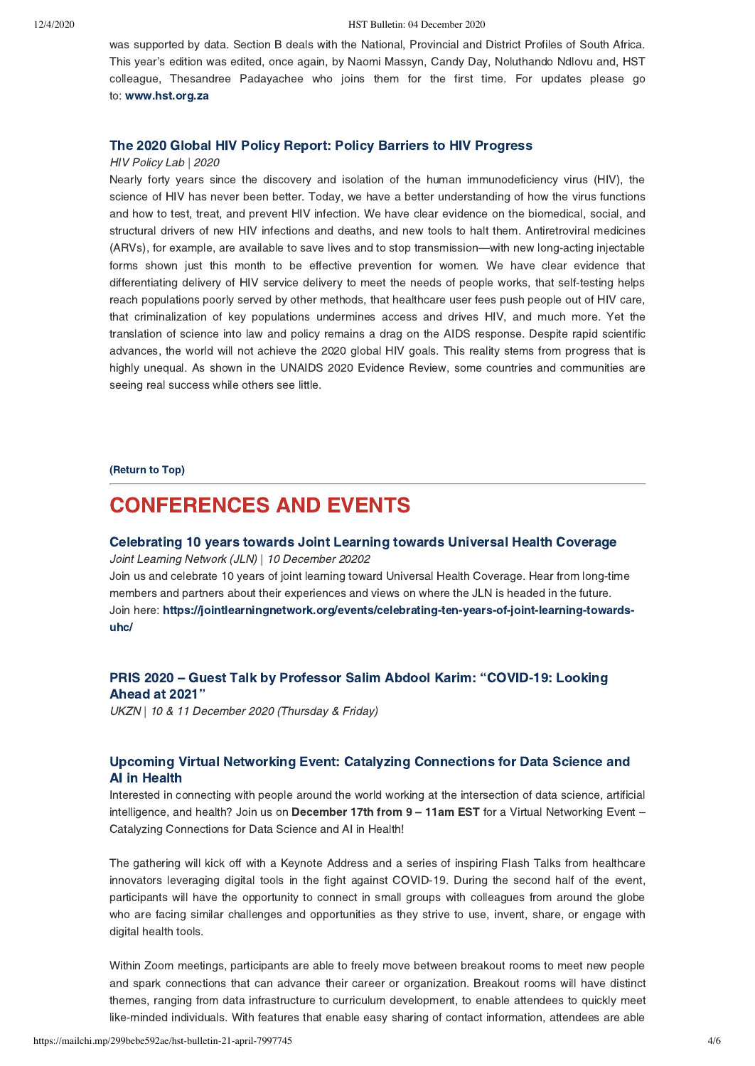was supported by data. Section B deals with the National, Provincial and District Profiles of South Africa. This year's edition was edited, once again, by Naomi Massyn, Candy Day, Noluthando Ndlovu and, HST colleague, Thesandree Padayachee who joins them for the first time. For updates please go to: [www.hst.org.za](http://www.hst.org.za/)

### [The 2020 Global HIV Policy Report: Policy Barriers to HIV Progress](https://www.hivpolicylab.org/documents/reports/2020GlobalReport/2020%20HIV%20Policy%20Lab%20Global%20Report%20Full.pdf)

#### HIV Policy Lab | 2020

Nearly forty years since the discovery and isolation of the human immunodeficiency virus (HIV), the science of HIV has never been better. Today, we have a better understanding of how the virus functions and how to test, treat, and prevent HIV infection. We have clear evidence on the biomedical, social, and structural drivers of new HIV infections and deaths, and new tools to halt them. Antiretroviral medicines (ARVs), for example, are available to save lives and to stop transmission—with new long-acting injectable forms shown just this month to be effective prevention for women. We have clear evidence that differentiating delivery of HIV service delivery to meet the needs of people works, that self-testing helps reach populations poorly served by other methods, that healthcare user fees push people out of HIV care, that criminalization of key populations undermines access and drives HIV, and much more. Yet the translation of science into law and policy remains a drag on the AIDS response. Despite rapid scientific advances, the world will not achieve the 2020 global HIV goals. This reality stems from progress that is highly unequal. As shown in the UNAIDS 2020 Evidence Review, some countries and communities are seeing real success while others see little.

[\(Return to Top\)](#page-0-1)

# <span id="page-3-0"></span>CONFERENCES AND EVENTS

### [Celebrating 10 years towards Joint Learning towards Universal Health Coverage](https://jointlearningnetwork.org/events/celebrating-ten-years-of-joint-learning-towards-uhc/)

Joint Learning Network (JLN) | 10 December 20202 Join us and celebrate 10 years of joint learning toward Universal Health Coverage. Hear from long-time members and partners about their experiences and views on where the JLN is headed in the future. [Join here: https://jointlearningnetwork.org/events/celebrating-ten-years-of-joint-learning-towards](https://jointlearningnetwork.org/events/celebrating-ten-years-of-joint-learning-towards-uhc/)uhc/

## [PRIS 2020 – Guest Talk by Professor Salim Abdool Karim: "COVID-19: Looking](https://ukzn.ac.za/ukzn-notice/pris-2020-guest-talk-by-professor-salim-abdool-karim-covid-19-looking-ahead-at-2021/) Ahead at 2021"

UKZN | 10 & 11 December 2020 (Thursday & Friday)

## Upcoming Virtual Networking Event: Catalyzing Connections for Data Science and AI in Health

Interested in connecting with people around the world working at the intersection of data science, artificial intelligence, and health? Join us on December 17th from 9 - 11am EST for a Virtual Networking Event -Catalyzing Connections for Data Science and AI in Health!

The gathering will kick off with a Keynote Address and a series of inspiring Flash Talks from healthcare innovators leveraging digital tools in the fight against COVID-19. During the second half of the event, participants will have the opportunity to connect in small groups with colleagues from around the globe who are facing similar challenges and opportunities as they strive to use, invent, share, or engage with digital health tools.

Within Zoom meetings, participants are able to freely move between breakout rooms to meet new people and spark connections that can advance their career or organization. Breakout rooms will have distinct themes, ranging from data infrastructure to curriculum development, to enable attendees to quickly meet like-minded individuals. With features that enable easy sharing of contact information, attendees are able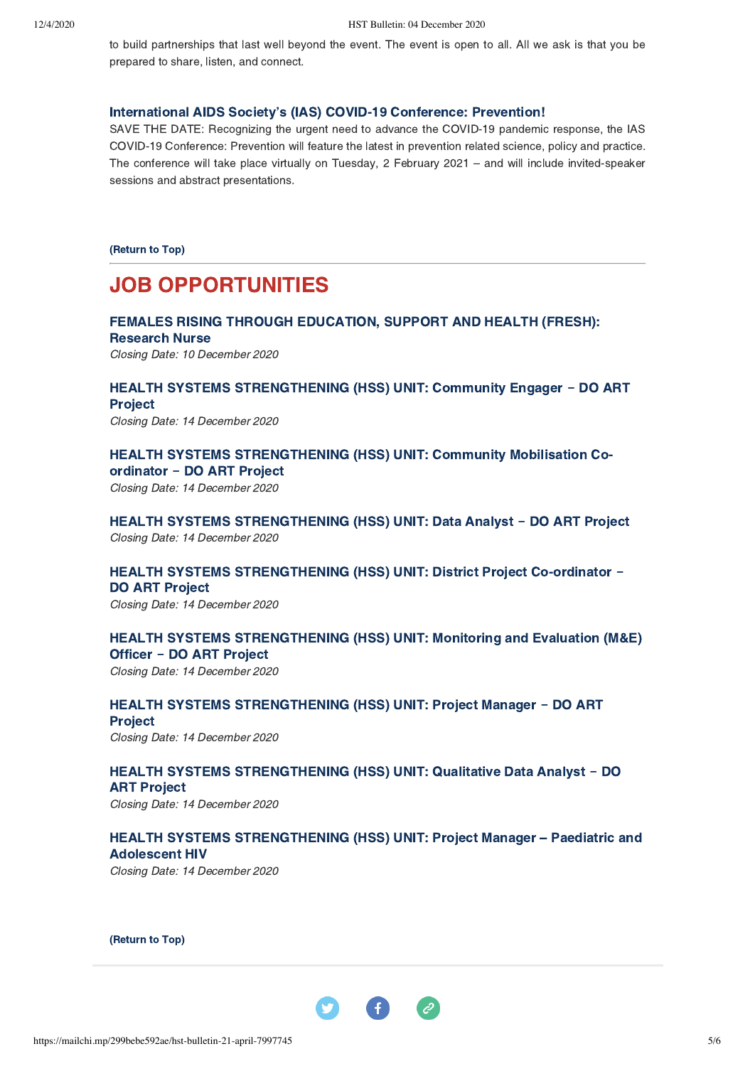to build partnerships that last well beyond the event. The event is open to all. All we ask is that you be prepared to share, listen, and connect.

### [International AIDS Society's \(IAS\) COVID-19 Conference: Prevention!](https://covid19.iasociety.org/)

SAVE THE DATE: Recognizing the urgent need to advance the COVID-19 pandemic response, the IAS COVID-19 Conference: Prevention will feature the latest in prevention related science, policy and practice. The conference will take place virtually on Tuesday, 2 February 2021 – and will include invited-speaker sessions and abstract presentations.

[\(Return to Top\)](#page-0-1)

# JOB OPPORTUNITIES

# [FEMALES RISING THROUGH EDUCATION, SUPPORT AND HEALTH \(FRESH\):](https://www.hst.org.za/Pages/Research-Nurse.aspx) Research Nurse

Closing Date: 10 December 2020

## HEALTH SYSTEMS STRENGTHENING (HSS) UNIT: Community Engager - DO ART **Project**

Closing Date: 14 December 2020

HEALTH SYSTEMS STRENGTHENING (HSS) UNIT: Community Mobilisation Coordinator **‒** DO ART Project

Closing Date: 14 December 2020

HEALTH SYSTEMS STRENGTHENING (HSS) UNIT: Data Analyst - DO ART Project Closing Date: 14 December 2020

HEALTH SYSTEMS STRENGTHENING (HSS) UNIT: District Project Co-ordinator -DO ART Project

Closing Date: 14 December 2020

## HEALTH SYSTEMS STRENGTHENING (HSS) UNIT: Monitoring and Evaluation (M&E) Officer **‒** DO ART Project

Closing Date: 14 December 2020

## HEALTH SYSTEMS STRENGTHENING (HSS) UNIT: Project Manager - DO ART **Project**

Closing Date: 14 December 2020

# HEALTH SYSTEMS STRENGTHENING (HSS) UNIT: Qualitative Data Analyst - DO ART Project

Closing Date: 14 December 2020

## HEALTH SYSTEMS STRENGTHENING (HSS) UNIT: Project Manager - Paediatric and Adolescent HIV

Closing Date: 14 December 2020

[\(Return to Top\)](#page-0-1)